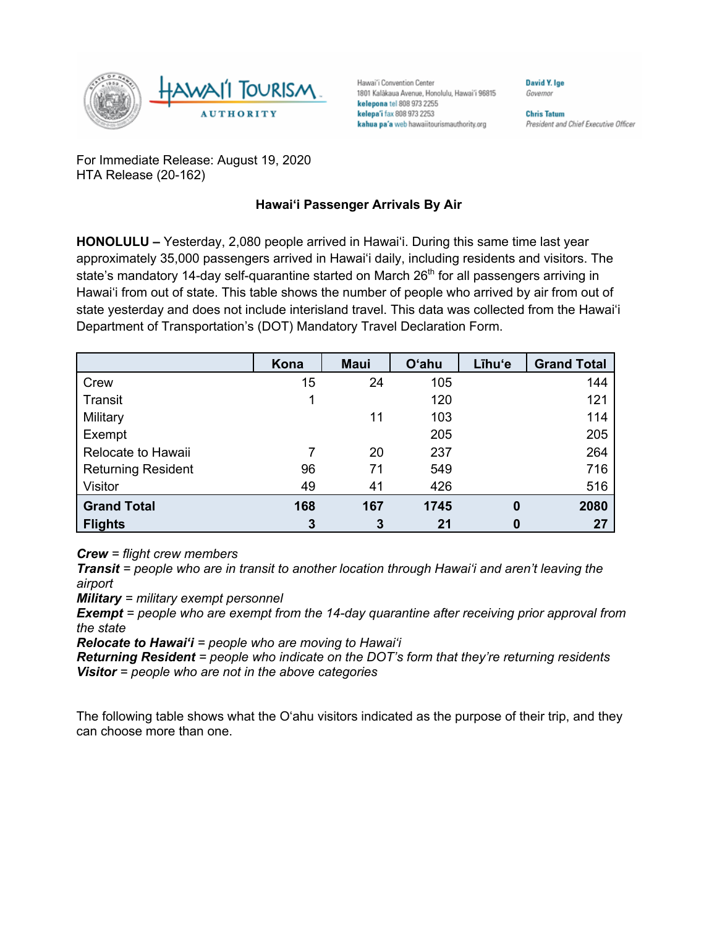

Hawai'i Convention Center 1801 Kalākaua Avenue, Honolulu, Hawai'i 96815 kelepona tel 808 973 2255 kelepa'i fax 808 973 2253 kahua pa'a web hawaiitourismauthority.org

Governor

David Y. Ige

**Chris Tatum** President and Chief Executive Officer

For Immediate Release: August 19, 2020 HTA Release (20-162)

## **Hawai'i Passenger Arrivals By Air**

**HONOLULU –** Yesterday, 2,080 people arrived in Hawai'i. During this same time last year approximately 35,000 passengers arrived in Hawai'i daily, including residents and visitors. The state's mandatory 14-day self-quarantine started on March 26<sup>th</sup> for all passengers arriving in Hawai'i from out of state. This table shows the number of people who arrived by air from out of state yesterday and does not include interisland travel. This data was collected from the Hawai'i Department of Transportation's (DOT) Mandatory Travel Declaration Form.

|                           | Kona | <b>Maui</b> | <b>O'ahu</b> | Līhu'e   | <b>Grand Total</b> |
|---------------------------|------|-------------|--------------|----------|--------------------|
| Crew                      | 15   | 24          | 105          |          | 144                |
| Transit                   | 1    |             | 120          |          | 121                |
| Military                  |      | 11          | 103          |          | 114                |
| Exempt                    |      |             | 205          |          | 205                |
| Relocate to Hawaii        | 7    | 20          | 237          |          | 264                |
| <b>Returning Resident</b> | 96   | 71          | 549          |          | 716                |
| Visitor                   | 49   | 41          | 426          |          | 516                |
| <b>Grand Total</b>        | 168  | 167         | 1745         | $\bf{0}$ | 2080               |
| <b>Flights</b>            | 3    | 3           | 21           | 0        | 27                 |

*Crew = flight crew members*

*Transit = people who are in transit to another location through Hawai'i and aren't leaving the airport*

*Military = military exempt personnel*

*Exempt = people who are exempt from the 14-day quarantine after receiving prior approval from the state*

*Relocate to Hawai'i = people who are moving to Hawai'i*

*Returning Resident = people who indicate on the DOT's form that they're returning residents Visitor = people who are not in the above categories*

The following table shows what the O'ahu visitors indicated as the purpose of their trip, and they can choose more than one.